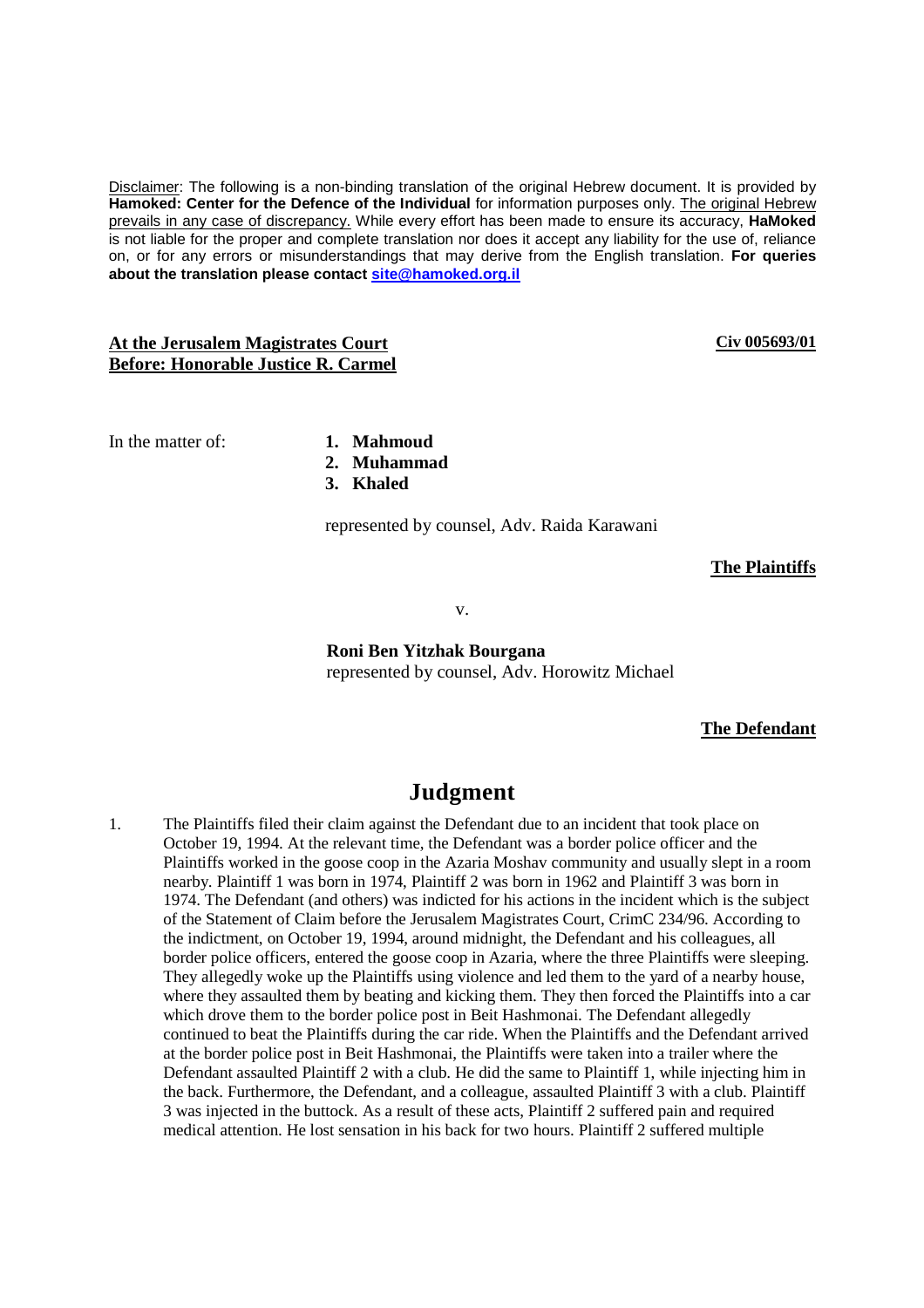Disclaimer: The following is a non-binding translation of the original Hebrew document. It is provided by **Hamoked: Center for the Defence of the Individual** for information purposes only. The original Hebrew prevails in any case of discrepancy. While every effort has been made to ensure its accuracy, **HaMoked** is not liable for the proper and complete translation nor does it accept any liability for the use of, reliance on, or for any errors or misunderstandings that may derive from the English translation. **For queries about the translation please contact site@hamoked.org.il**

## **At the Jerusalem Magistrates Court Before: Honorable Justice R. Carmel**

**Civ 005693/01**

In the matter of: **1. Mahmoud** 

- 
- **2. Muhammad**
- **3. Khaled**

represented by counsel, Adv. Raida Karawani

**The Plaintiffs**

v.

**Roni Ben Yitzhak Bourgana**  represented by counsel, Adv. Horowitz Michael

## **The Defendant**

## **Judgment**

1. The Plaintiffs filed their claim against the Defendant due to an incident that took place on October 19, 1994. At the relevant time, the Defendant was a border police officer and the Plaintiffs worked in the goose coop in the Azaria Moshav community and usually slept in a room nearby. Plaintiff 1 was born in 1974, Plaintiff 2 was born in 1962 and Plaintiff 3 was born in 1974. The Defendant (and others) was indicted for his actions in the incident which is the subject of the Statement of Claim before the Jerusalem Magistrates Court, CrimC 234/96. According to the indictment, on October 19, 1994, around midnight, the Defendant and his colleagues, all border police officers, entered the goose coop in Azaria, where the three Plaintiffs were sleeping. They allegedly woke up the Plaintiffs using violence and led them to the yard of a nearby house, where they assaulted them by beating and kicking them. They then forced the Plaintiffs into a car which drove them to the border police post in Beit Hashmonai. The Defendant allegedly continued to beat the Plaintiffs during the car ride. When the Plaintiffs and the Defendant arrived at the border police post in Beit Hashmonai, the Plaintiffs were taken into a trailer where the Defendant assaulted Plaintiff 2 with a club. He did the same to Plaintiff 1, while injecting him in the back. Furthermore, the Defendant, and a colleague, assaulted Plaintiff 3 with a club. Plaintiff 3 was injected in the buttock. As a result of these acts, Plaintiff 2 suffered pain and required medical attention. He lost sensation in his back for two hours. Plaintiff 2 suffered multiple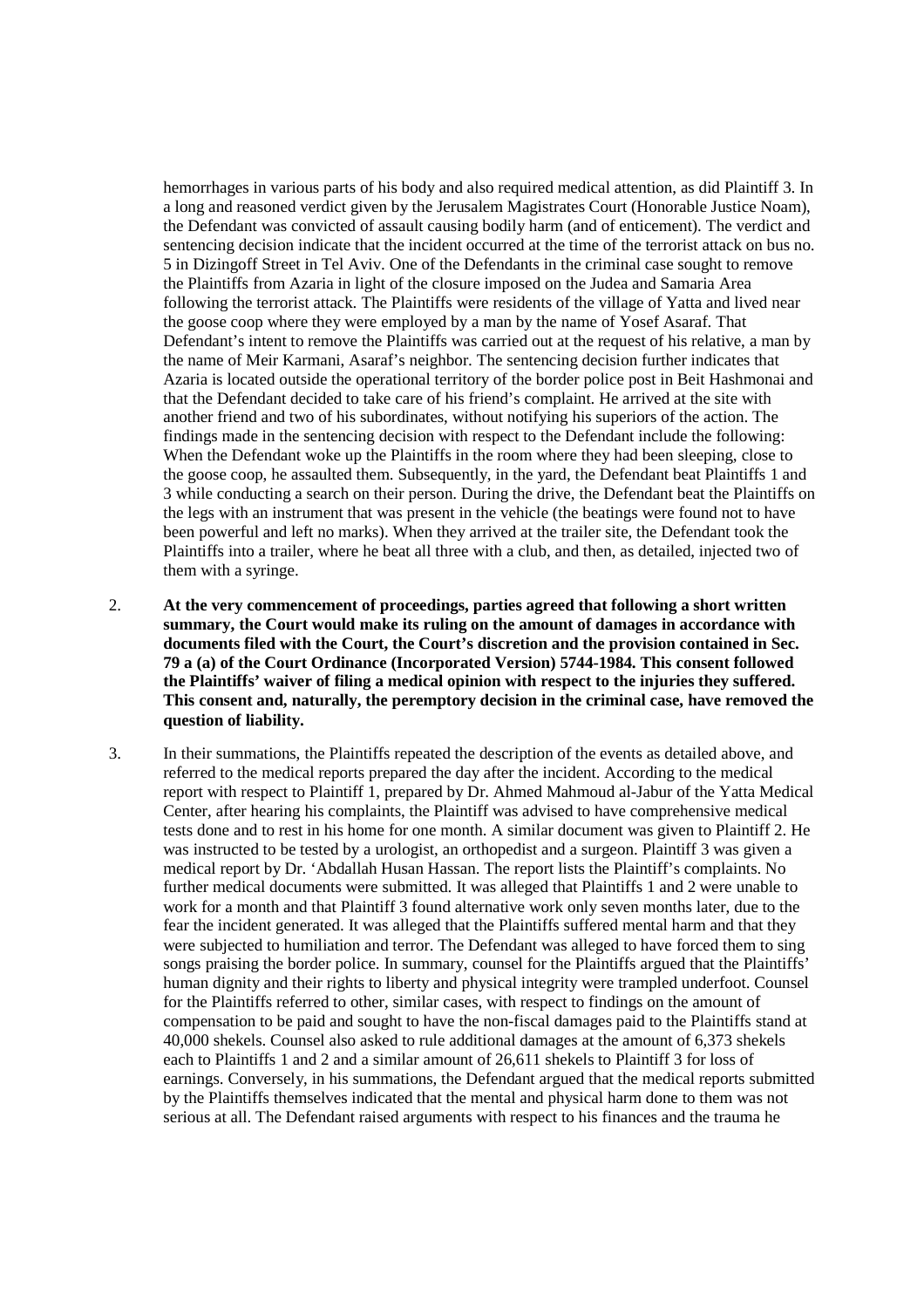hemorrhages in various parts of his body and also required medical attention, as did Plaintiff 3. In a long and reasoned verdict given by the Jerusalem Magistrates Court (Honorable Justice Noam), the Defendant was convicted of assault causing bodily harm (and of enticement). The verdict and sentencing decision indicate that the incident occurred at the time of the terrorist attack on bus no. 5 in Dizingoff Street in Tel Aviv. One of the Defendants in the criminal case sought to remove the Plaintiffs from Azaria in light of the closure imposed on the Judea and Samaria Area following the terrorist attack. The Plaintiffs were residents of the village of Yatta and lived near the goose coop where they were employed by a man by the name of Yosef Asaraf. That Defendant's intent to remove the Plaintiffs was carried out at the request of his relative, a man by the name of Meir Karmani, Asaraf's neighbor. The sentencing decision further indicates that Azaria is located outside the operational territory of the border police post in Beit Hashmonai and that the Defendant decided to take care of his friend's complaint. He arrived at the site with another friend and two of his subordinates, without notifying his superiors of the action. The findings made in the sentencing decision with respect to the Defendant include the following: When the Defendant woke up the Plaintiffs in the room where they had been sleeping, close to the goose coop, he assaulted them. Subsequently, in the yard, the Defendant beat Plaintiffs 1 and 3 while conducting a search on their person. During the drive, the Defendant beat the Plaintiffs on the legs with an instrument that was present in the vehicle (the beatings were found not to have been powerful and left no marks). When they arrived at the trailer site, the Defendant took the Plaintiffs into a trailer, where he beat all three with a club, and then, as detailed, injected two of them with a syringe.

- 2. **At the very commencement of proceedings, parties agreed that following a short written summary, the Court would make its ruling on the amount of damages in accordance with documents filed with the Court, the Court's discretion and the provision contained in Sec. 79 a (a) of the Court Ordinance (Incorporated Version) 5744-1984. This consent followed the Plaintiffs' waiver of filing a medical opinion with respect to the injuries they suffered. This consent and, naturally, the peremptory decision in the criminal case, have removed the question of liability.**
- 3. In their summations, the Plaintiffs repeated the description of the events as detailed above, and referred to the medical reports prepared the day after the incident. According to the medical report with respect to Plaintiff 1, prepared by Dr. Ahmed Mahmoud al-Jabur of the Yatta Medical Center, after hearing his complaints, the Plaintiff was advised to have comprehensive medical tests done and to rest in his home for one month. A similar document was given to Plaintiff 2. He was instructed to be tested by a urologist, an orthopedist and a surgeon. Plaintiff 3 was given a medical report by Dr. 'Abdallah Husan Hassan. The report lists the Plaintiff's complaints. No further medical documents were submitted. It was alleged that Plaintiffs 1 and 2 were unable to work for a month and that Plaintiff 3 found alternative work only seven months later, due to the fear the incident generated. It was alleged that the Plaintiffs suffered mental harm and that they were subjected to humiliation and terror. The Defendant was alleged to have forced them to sing songs praising the border police. In summary, counsel for the Plaintiffs argued that the Plaintiffs' human dignity and their rights to liberty and physical integrity were trampled underfoot. Counsel for the Plaintiffs referred to other, similar cases, with respect to findings on the amount of compensation to be paid and sought to have the non-fiscal damages paid to the Plaintiffs stand at 40,000 shekels. Counsel also asked to rule additional damages at the amount of 6,373 shekels each to Plaintiffs 1 and 2 and a similar amount of 26,611 shekels to Plaintiff 3 for loss of earnings. Conversely, in his summations, the Defendant argued that the medical reports submitted by the Plaintiffs themselves indicated that the mental and physical harm done to them was not serious at all. The Defendant raised arguments with respect to his finances and the trauma he